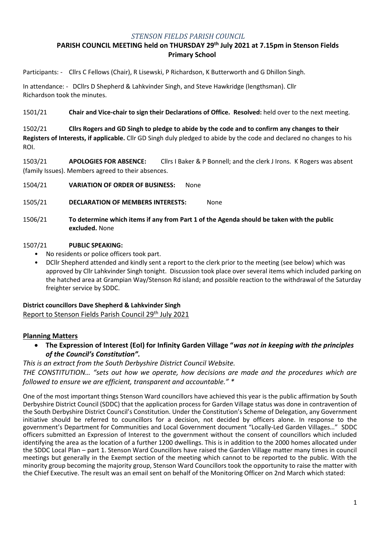### *STENSON FIELDS PARISH COUNCIL*

# **PARISH COUNCIL MEETING held on THURSDAY 29th July 2021 at 7.15pm in Stenson Fields Primary School**

Participants: - Cllrs C Fellows (Chair), R Lisewski, P Richardson, K Butterworth and G Dhillon Singh.

In attendance: - DCllrs D Shepherd & Lahkvinder Singh, and Steve Hawkridge (lengthsman). Cllr Richardson took the minutes.

1501/21 **Chair and Vice-chair to sign their Declarations of Office. Resolved:** held over to the next meeting.

1502/21 **Cllrs Rogers and GD Singh to pledge to abide by the code and to confirm any changes to their Registers of Interests, if applicable.** Cllr GD Singh duly pledged to abide by the code and declared no changes to his ROI.

1503/21 **APOLOGIES FOR ABSENCE:** Cllrs I Baker & P Bonnell; and the clerk J Irons. K Rogers was absent (family Issues). Members agreed to their absences.

1504/21 **VARIATION OF ORDER OF BUSINESS:** None

1505/21 **DECLARATION OF MEMBERS INTERESTS:** None

1506/21 **To determine which items if any from Part 1 of the Agenda should be taken with the public excluded.** None

### 1507/21 **PUBLIC SPEAKING:**

- No residents or police officers took part.
- DCllr Shepherd attended and kindly sent a report to the clerk prior to the meeting (see below) which was approved by Cllr Lahkvinder Singh tonight. Discussion took place over several items which included parking on the hatched area at Grampian Way/Stenson Rd island; and possible reaction to the withdrawal of the Saturday freighter service by SDDC.

### **District councillors Dave Shepherd & Lahkvinder Singh** Report to Stenson Fields Parish Council 29<sup>th</sup> July 2021

### **Planning Matters**

• **The Expression of Interest (EoI) for Infinity Garden Village "***was not in keeping with the principles of the Council's Constitution".*

*This is an extract from the South Derbyshire District Council Website.*

*THE CONSTITUTION… "sets out how we operate, how decisions are made and the procedures which are followed to ensure we are efficient, transparent and accountable." \**

One of the most important things Stenson Ward councillors have achieved this year is the public affirmation by South Derbyshire District Council (SDDC) that the application process for Garden Village status was done in contravention of the South Derbyshire District Council's Constitution. Under the Constitution's Scheme of Delegation, any Government initiative should be referred to councillors for a decision, not decided by officers alone. In response to the government's Department for Communities and Local Government document "Locally-Led Garden Villages…" SDDC officers submitted an Expression of Interest to the government without the consent of councillors which included identifying the area as the location of a further 1200 dwellings. This is in addition to the 2000 homes allocated under the SDDC Local Plan – part 1. Stenson Ward Councillors have raised the Garden Village matter many times in council meetings but generally in the Exempt section of the meeting which cannot to be reported to the public. With the minority group becoming the majority group, Stenson Ward Councillors took the opportunity to raise the matter with the Chief Executive. The result was an email sent on behalf of the Monitoring Officer on 2nd March which stated: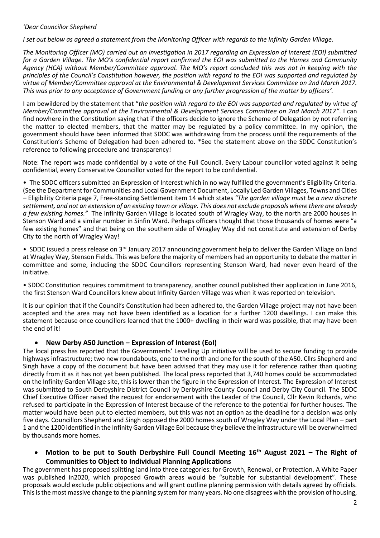#### *'Dear Councillor Shepherd*

*I set out below as agreed a statement from the Monitoring Officer with regards to the Infinity Garden Village.* 

*The Monitoring Officer (MO) carried out an investigation in 2017 regarding an Expression of Interest (EOI) submitted for a Garden Village. The MO's confidential report confirmed the EOI was submitted to the Homes and Community Agency (HCA) without Member/Committee approval. The MO's report concluded this was not in keeping with the principles of the Council's Constitution however, the position with regard to the EOI was supported and regulated by virtue of Member/Committee approval at the Environmental & Development Services Committee on 2nd March 2017. This was prior to any acceptance of Government funding or any further progression of the matter by officers'.*

I am bewildered by the statement that "*the position with regard to the EOI was supported and regulated by virtue of Member/Committee approval at the Environmental & Development Services Committee on 2nd March 2017"*. I can find nowhere in the Constitution saying that if the officers decide to ignore the Scheme of Delegation by not referring the matter to elected members, that the matter may be regulated by a policy committee. In my opinion, the government should have been informed that SDDC was withdrawing from the process until the requirements of the Constitution's Scheme of Delegation had been adhered to. \*See the statement above on the SDDC Constitution's reference to following procedure and transparency!

Note: The report was made confidential by a vote of the Full Council. Every Labour councillor voted against it being confidential, every Conservative Councillor voted for the report to be confidential.

• The SDDC officers submitted an Expression of Interest which in no way fulfilled the government's Eligibility Criteria. (See the Department for Communities and Local Government Document, Locally Led Garden Villages, Towns and Cities – Eligibility Criteria page 7, Free-standing Settlement item 14 which states *"The garden village must be a new discrete settlement, and not an extension of an existing town or village. This does not exclude proposals where there are already a few existing homes."* The Infinity Garden Village is located south of Wragley Way, to the north are 2000 houses in Stenson Ward and a similar number in Sinfin Ward. Perhaps officers thought that those thousands of homes were "a few existing homes" and that being on the southern side of Wragley Way did not constitute and extension of Derby City to the north of Wragley Way!

• SDDC issued a press release on 3rd January 2017 announcing government help to deliver the Garden Village on land at Wragley Way, Stenson Fields. This was before the majority of members had an opportunity to debate the matter in committee and some, including the SDDC Councillors representing Stenson Ward, had never even heard of the initiative.

• SDDC Constitution requires commitment to transparency, another council published their application in June 2016, the first Stenson Ward Councillors knew about Infinity Garden Village was when it was reported on television.

It is our opinion that if the Council's Constitution had been adhered to, the Garden Village project may not have been accepted and the area may not have been identified as a location for a further 1200 dwellings. I can make this statement because once councillors learned that the 1000+ dwelling in their ward was possible, that may have been the end of it!

### • **New Derby A50 Junction – Expression of Interest (EoI)**

The local press has reported that the Governments' Levelling Up initiative will be used to secure funding to provide highways infrastructure; two new roundabouts, one to the north and one for the south of the A50. Cllrs Shepherd and Singh have a copy of the document but have been advised that they may use it for reference rather than quoting directly from it as it has not yet been published. The local press reported that 3,740 homes could be accommodated on the Infinity Garden Village site, this is lower than the figure in the Expression of Interest. The Expression of Interest was submitted to South Derbyshire District Council by Derbyshire County Council and Derby City Council. The SDDC Chief Executive Officer raised the request for endorsement with the Leader of the Council, Cllr Kevin Richards, who refused to participate in the Expression of Interest because of the reference to the potential for further houses. The matter would have been put to elected members, but this was not an option as the deadline for a decision was only five days. Councillors Shepherd and Singh opposed the 2000 homes south of Wragley Way under the Local Plan – part 1 and the 1200 identified in the Infinity Garden Village EoI because they believe the infrastructure will be overwhelmed by thousands more homes.

### • **Motion to be put to South Derbyshire Full Council Meeting 16th August 2021 – The Right of Communities to Object to Individual Planning Applications**

The government has proposed splitting land into three categories: for Growth, Renewal, or Protection. A White Paper was published in2020, which proposed Growth areas would be "suitable for substantial development". These proposals would exclude public objections and will grant outline planning permission with details agreed by officials. This is the most massive change to the planning system for many years. No one disagrees with the provision of housing,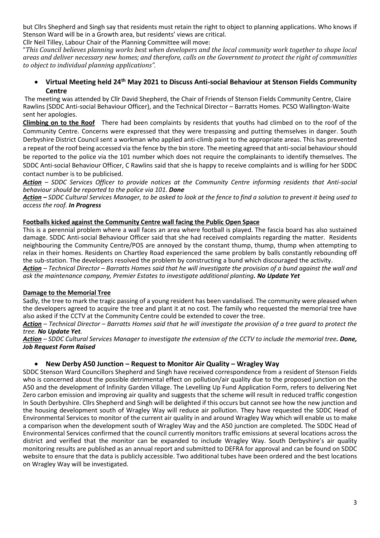but Cllrs Shepherd and Singh say that residents must retain the right to object to planning applications. Who knows if Stenson Ward will be in a Growth area, but residents' views are critical.

Cllr Neil Tilley, Labour Chair of the Planning Committee will move:

"*This Council believes planning works best when developers and the local community work together to shape local areas and deliver necessary new homes; and therefore, calls on the Government to protect the right of communities to object to individual planning applications".*

### • **Virtual Meeting held 24th May 2021 to Discuss Anti-social Behaviour at Stenson Fields Community Centre**

The meeting was attended by Cllr David Shepherd, the Chair of Friends of Stenson Fields Community Centre, Claire Rawlins (SDDC Anti-social Behaviour Officer), and the Technical Director – Barratts Homes. PCSO Wallington-Waite sent her apologies.

**Climbing on to the Roof** There had been complaints by residents that youths had climbed on to the roof of the Community Centre. Concerns were expressed that they were trespassing and putting themselves in danger. South Derbyshire District Council sent a workman who applied anti-climb paint to the appropriate areas. This has prevented a repeat of the roof being accessed via the fence by the bin store. The meeting agreed that anti-social behaviour should be reported to the police via the 101 number which does not require the complainants to identify themselves. The SDDC Anti-social Behaviour Officer, C Rawlins said that she is happy to receive complaints and is willing for her SDDC contact number is to be publicised.

*Action – SDDC Services Officer to provide notices at the Community Centre informing residents that Anti-social behaviour should be reported to the police via 101. Done*

*Action – SDDC Cultural Services Manager, to be asked to look at the fence to find a solution to prevent it being used to access the roof. In Progress*

#### **Footballs kicked against the Community Centre wall facing the Public Open Space**

This is a perennial problem where a wall faces an area where football is played. The fascia board has also sustained damage. SDDC Anti-social Behaviour Officer said that she had received complaints regarding the matter. Residents neighbouring the Community Centre/POS are annoyed by the constant thump, thump, thump when attempting to relax in their homes. Residents on Chartley Road experienced the same problem by balls constantly rebounding off the sub-station. The developers resolved the problem by constructing a bund which discouraged the activity.

*Action – Technical Director – Barratts Homes said that he will investigate the provision of a bund against the wall and ask the maintenance company, Premier Estates to investigate additional planting. No Update Yet*

### **Damage to the Memorial Tree**

Sadly, the tree to mark the tragic passing of a young resident has been vandalised. The community were pleased when the developers agreed to acquire the tree and plant it at no cost. The family who requested the memorial tree have also asked if the CCTV at the Community Centre could be extended to cover the tree.

*Action – Technical Director – Barratts Homes said that he will investigate the provision of a tree guard to protect the tree. No Update Yet.*

*Action – SDDC Cultural Services Manager to investigate the extension of the CCTV to include the memorial tree. Done, Job Request Form Raised*

### • **New Derby A50 Junction – Request to Monitor Air Quality – Wragley Way**

SDDC Stenson Ward Councillors Shepherd and Singh have received correspondence from a resident of Stenson Fields who is concerned about the possible detrimental effect on pollution/air quality due to the proposed junction on the A50 and the development of Infinity Garden Village. The Levelling Up Fund Application Form, refers to delivering Net Zero carbon emission and improving air quality and suggests that the scheme will result in reduced traffic congestion In South Derbyshire. Cllrs Shepherd and Singh will be delighted if this occurs but cannot see how the new junction and the housing development south of Wragley Way will reduce air pollution. They have requested the SDDC Head of Environmental Services to monitor of the current air quality in and around Wragley Way which will enable us to make a comparison when the development south of Wragley Way and the A50 junction are completed. The SDDC Head of Environmental Services confirmed that the council currently monitors traffic emissions at several locations across the district and verified that the monitor can be expanded to include Wragley Way. South Derbyshire's air quality monitoring results are published as an annual report and submitted to DEFRA for approval and can be found on SDDC website to ensure that the data is publicly accessible. Two additional tubes have been ordered and the best locations on Wragley Way will be investigated.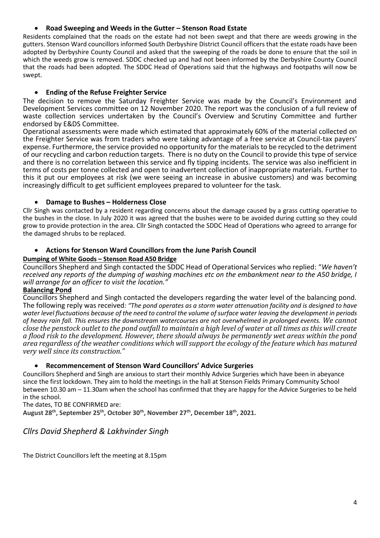### • **Road Sweeping and Weeds in the Gutter – Stenson Road Estate**

Residents complained that the roads on the estate had not been swept and that there are weeds growing in the gutters. Stenson Ward councillors informed South Derbyshire District Council officers that the estate roads have been adopted by Derbyshire County Council and asked that the sweeping of the roads be done to ensure that the soil in which the weeds grow is removed. SDDC checked up and had not been informed by the Derbyshire County Council that the roads had been adopted. The SDDC Head of Operations said that the highways and footpaths will now be swept.

### • **Ending of the Refuse Freighter Service**

The decision to remove the Saturday Freighter Service was made by the Council's Environment and Development Services committee on 12 November 2020. The report was the conclusion of a full review of waste collection services undertaken by the Council's Overview and Scrutiny Committee and further endorsed by E&DS Committee.

Operational assessments were made which estimated that approximately 60% of the material collected on the Freighter Service was from traders who were taking advantage of a free service at Council-tax payers' expense. Furthermore, the service provided no opportunity for the materials to be recycled to the detriment of our recycling and carbon reduction targets. There is no duty on the Council to provide this type of service and there is no correlation between this service and fly tipping incidents. The service was also inefficient in terms of costs per tonne collected and open to inadvertent collection of inappropriate materials. Further to this it put our employees at risk (we were seeing an increase in abusive customers) and was becoming increasingly difficult to get sufficient employees prepared to volunteer for the task.

### • **Damage to Bushes – Holderness Close**

Cllr Singh was contacted by a resident regarding concerns about the damage caused by a grass cutting operative to the bushes in the close. In July 2020 it was agreed that the bushes were to be avoided during cutting so they could grow to provide protection in the area. Cllr Singh contacted the SDDC Head of Operations who agreed to arrange for the damaged shrubs to be replaced.

### • **Actions for Stenson Ward Councillors from the June Parish Council**

### **Dumping of White Goods – Stenson Road A50 Bridge**

Councillors Shepherd and Singh contacted the SDDC Head of Operational Services who replied: "*We haven't received any reports of the dumping of washing machines etc on the embankment near to the A50 bridge, I will arrange for an officer to visit the location."*

### **Balancing Pond**

Councillors Shepherd and Singh contacted the developers regarding the water level of the balancing pond. The following reply was received*: "The pond operates as a storm water attenuation facility and is designed to have water level fluctuations because of the need to control the volume of surface water leaving the development in periods of heavy rain fall. This ensures the downstream watercourses are not overwhelmed in prolonged events. We cannot close the penstock outlet to the pond outfall to maintain a high level of water at all times as this will create a flood risk to the development. However, there should always be permanently wet areas within the pond area regardless of the weather conditions which will support the ecology of the feature which has matured very well since its construction."*

### • **Recommencement of Stenson Ward Councillors' Advice Surgeries**

Councillors Shepherd and Singh are anxious to start their monthly Advice Surgeries which have been in abeyance since the first lockdown. They aim to hold the meetings in the hall at Stenson Fields Primary Community School between 10.30 am – 11.30am when the school has confirmed that they are happy for the Advice Surgeries to be held in the school.

The dates, TO BE CONFIRMED are:

**August 28th, September 25th, October 30th, November 27th, December 18th, 2021.**

# *Cllrs David Shepherd & Lakhvinder Singh*

The District Councillors left the meeting at 8.15pm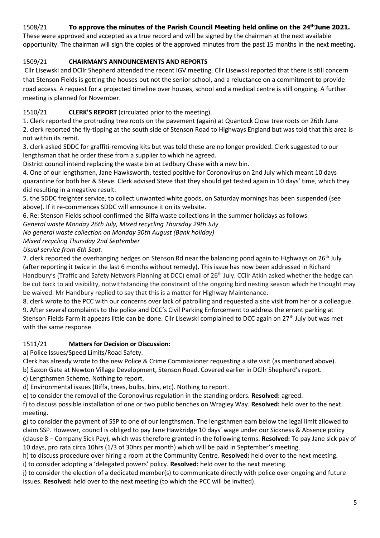# 1508/21 **To approve the minutes of the Parish Council Meeting held online on the 24thJune 2021.**

These were approved and accepted as a true record and will be signed by the chairman at the next available opportunity. The chairman will sign the copies of the approved minutes from the past 15 months in the next meeting.

### 1509/21 **CHAIRMAN'S ANNOUNCEMENTS AND REPORTS**

Cllr Lisewski and DCllr Shepherd attended the recent IGV meeting. Cllr Lisewski reported that there is still concern that Stenson Fields is getting the houses but not the senior school, and a reluctance on a commitment to provide road access. A request for a projected timeline over houses, school and a medical centre is still ongoing. A further meeting is planned for November.

# 1510/21 **CLERK'S REPORT** (circulated prior to the meeting).

1. Clerk reported the protruding tree roots on the pavement (again) at Quantock Close tree roots on 26th June 2. clerk reported the fly-tipping at the south side of Stenson Road to Highways England but was told that this area is not within its remit.

3. clerk asked SDDC for graffiti-removing kits but was told these are no longer provided. Clerk suggested to our lengthsman that he order these from a supplier to which he agreed.

District council intend replacing the waste bin at Ledbury Chase with a new bin.

4. One of our lengthsmen, Jane Hawksworth, tested positive for Coronovirus on 2nd July which meant 10 days quarantine for both her & Steve. Clerk advised Steve that they should get tested again in 10 days' time, which they did resulting in a negative result.

5. the SDDC freighter service, to collect unwanted white goods, on Saturday mornings has been suspended (see above). If it re-commences SDDC will announce it on its website.

6. Re: Stenson Fields school confirmed the Biffa waste collections in the summer holidays as follows:

*General waste Monday 26th July, Mixed recycling Thursday 29th July.* 

*No general waste collection on Monday 30th August (Bank holiday)*

*Mixed recycling Thursday 2nd September*

*Usual service from 6th Sept.*

7. clerk reported the overhanging hedges on Stenson Rd near the balancing pond again to Highways on  $26<sup>th</sup>$  July (after reporting it twice in the last 6 months without remedy). This issue has now been addressed in Richard Handbury's (Traffic and Safety Network Planning at DCC) email of 26<sup>th</sup> July. CCllr Atkin asked whether the hedge can be cut back to aid visibility, notwithstanding the constraint of the ongoing bird nesting season which he thought may be waived. Mr Handbury replied to say that this is a matter for Highway Maintenance.

8. clerk wrote to the PCC with our concerns over lack of patrolling and requested a site visit from her or a colleague. 9. After several complaints to the police and DCC's Civil Parking Enforcement to address the errant parking at Stenson Fields Farm it appears little can be done. Cllr Lisewski complained to DCC again on 27th July but was met with the same response.

## 1511/21 **Matters for Decision or Discussion:**

a) Police Issues/Speed Limits/Road Safety.

Clerk has already wrote to the new Police & Crime Commissioner requesting a site visit (as mentioned above).

b) Saxon Gate at Newton Village Development, Stenson Road. Covered earlier in DCllr Shepherd's report.

c) Lengthsmen Scheme. Nothing to report.

d) Environmental issues (Biffa, trees, bulbs, bins, etc). Nothing to report.

e) to consider the removal of the Coronovirus regulation in the standing orders. **Resolved:** agreed.

f) to discuss possible installation of one or two public benches on Wragley Way. **Resolved:** held over to the next meeting.

g) to consider the payment of SSP to one of our lengthsmen. The lengsthmen earn below the legal limit allowed to claim SSP. However, council is obliged to pay Jane Hawkridge 10 days' wage under our Sickness & Absence policy (clause 8 – Company Sick Pay), which was therefore granted in the following terms. **Resolved:** To pay Jane sick pay of 10 days, pro rata circa 10hrs (1/3 of 30hrs per month) which will be paid in September's meeting.

h) to discuss procedure over hiring a room at the Community Centre. **Resolved:** held over to the next meeting.

i) to consider adopting a 'delegated powers' policy. **Resolved:** held over to the next meeting.

j) to consider the election of a dedicated member(s) to communicate directly with police over ongoing and future issues. **Resolved:** held over to the next meeting (to which the PCC will be invited).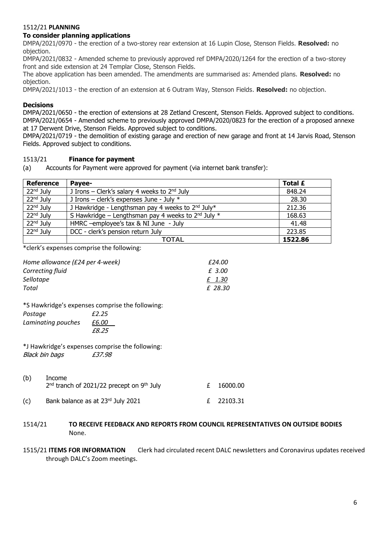#### 1512/21 **PLANNING**

# **To consider planning applications**

DMPA/2021/0970 - the erection of a two-storey rear extension at 16 Lupin Close, Stenson Fields. **Resolved:** no objection.

DMPA/2021/0832 - Amended scheme to previously approved ref DMPA/2020/1264 for the erection of a two-storey front and side extension at 24 Templar Close, Stenson Fields.

The above application has been amended. The amendments are summarised as: Amended plans. **Resolved:** no objection.

DMPA/2021/1013 - the erection of an extension at 6 Outram Way, Stenson Fields. **Resolved:** no objection.

# **Decisions**

DMPA/2021/0650 - the erection of extensions at 28 Zetland Crescent, Stenson Fields. Approved subject to conditions. DMPA/2021/0654 - Amended scheme to previously approved DMPA/2020/0823 for the erection of a proposed annexe at 17 Derwent Drive, Stenson Fields. Approved subject to conditions.

DMPA/2021/0719 - the demolition of existing garage and erection of new garage and front at 14 Jarvis Road, Stenson Fields. Approved subject to conditions.

### 1513/21 **Finance for payment**

(a) Accounts for Payment were approved for payment (via internet bank transfer):

| <b>Reference</b>      | Payee-                                                        | Total £ |
|-----------------------|---------------------------------------------------------------|---------|
| $22nd$ July           | J Irons – Clerk's salary 4 weeks to $2nd$ July                | 848.24  |
| $22nd$ July           | J Irons – clerk's expenses June - July *                      | 28.30   |
| 22 <sup>nd</sup> July | J Hawkridge - Lengthsman pay 4 weeks to 2 <sup>nd</sup> July* | 212.36  |
| 22 <sup>nd</sup> July | S Hawkridge – Lengthsman pay 4 weeks to $2^{nd}$ July $*$     | 168.63  |
| $22nd$ July           | HMRC -employee's tax & NI June - July                         | 41.48   |
| $22nd$ July           | DCC - clerk's pension return July                             | 223.85  |
|                       | <b>TOTAL</b>                                                  | 1522.86 |

\*clerk's expenses comprise the following:

| Home allowance (£24 per 4-week) | £24.00  |  |  |
|---------------------------------|---------|--|--|
| Correcting fluid                | £ 3.00  |  |  |
| Sellotape                       | £ 1.30  |  |  |
| Total                           | £ 28.30 |  |  |

## \*S Hawkridge's expenses comprise the following:

| Postage            | £2.25 |
|--------------------|-------|
| Laminating pouches | £6.00 |
|                    | £8.25 |

#### \*J Hawkridge's expenses comprise the following: Black bin bags **£37.98**

| (b) | Income<br>2 <sup>nd</sup> tranch of 2021/22 precept on 9 <sup>th</sup> July | £ 16000.00 |
|-----|-----------------------------------------------------------------------------|------------|
| (c) | Bank balance as at 23rd July 2021                                           | £ 22103.31 |

### 1514/21 **TO RECEIVE FEEDBACK AND REPORTS FROM COUNCIL REPRESENTATIVES ON OUTSIDE BODIES**  None.

1515/21 **ITEMS FOR INFORMATION** Clerk had circulated recent DALC newsletters and Coronavirus updates received through DALC's Zoom meetings.